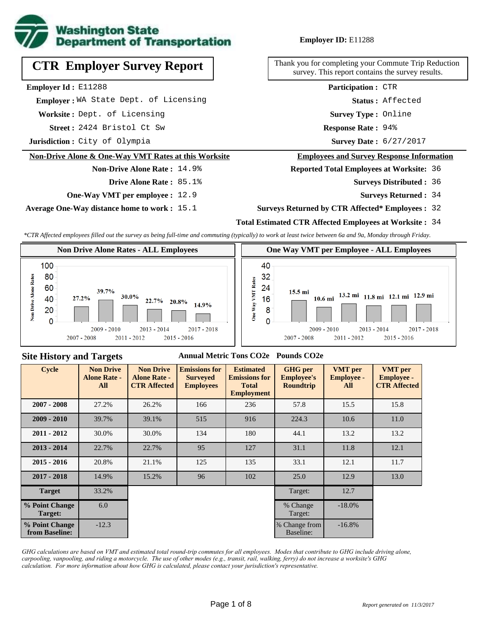

# **CTR Employer Survey Report**

**Employer Id :** E11288

 **Employer :** WA State Dept. of Licensing

**Worksite :** Dept. of Licensing

2424 Bristol Ct Sw **Response Rate : Street :**

**Jurisdiction :** City of Olympia

#### **Non-Drive Alone & One-Way VMT Rates at this Worksite**

#### **Non-Drive Alone Rate :** 14.9% **Drive Alone Rate :** 85.1%

**One-Way VMT per employee :** 12.9

**Average One-Way distance home to work :** 15.1

#### **Employer ID:** E11288

Thank you for completing your Commute Trip Reduction survey. This report contains the survey results.

> **Status :** Affected **Participation :** CTR

**Survey Type :** Online

Response Rate: 94%

Survey Date: 6/27/2017

#### **Employees and Survey Response Information**

**Reported Total Employees at Worksite:** 36

- 36 **Surveys Distributed :**
	- **Surveys Returned :** 34

#### **Surveys Returned by CTR Affected\* Employees :** 32

#### **Total Estimated CTR Affected Employees at Worksite :** 34

*\*CTR Affected employees filled out the survey as being full-time and commuting (typically) to work at least twice between 6a and 9a, Monday through Friday.*



#### **Site History and Targets**

#### **Annual Metric Tons CO2e Pounds CO2e**

| <b>Cycle</b>                     | <b>Non Drive</b><br><b>Alone Rate -</b><br>All | <b>Non Drive</b><br><b>Alone Rate -</b><br><b>CTR Affected</b> | <b>Emissions for</b><br><b>Surveyed</b><br><b>Employees</b> | <b>Estimated</b><br><b>Emissions for</b><br><b>Total</b><br><b>Employment</b> | <b>GHG</b> per<br><b>Employee's</b><br><b>Roundtrip</b> | <b>VMT</b> per<br><b>Employee -</b><br>All | <b>VMT</b> per<br><b>Employee -</b><br><b>CTR Affected</b> |
|----------------------------------|------------------------------------------------|----------------------------------------------------------------|-------------------------------------------------------------|-------------------------------------------------------------------------------|---------------------------------------------------------|--------------------------------------------|------------------------------------------------------------|
| $2007 - 2008$                    | 27.2%                                          | 26.2%                                                          | 166                                                         | 236                                                                           | 57.8                                                    | 15.5                                       | 15.8                                                       |
| $2009 - 2010$                    | 39.7%                                          | 39.1%                                                          | 515                                                         | 916                                                                           | 224.3                                                   | 10.6                                       | 11.0                                                       |
| $2011 - 2012$                    | 30.0%                                          | 30.0%                                                          | 134                                                         | 180                                                                           | 44.1                                                    | 13.2                                       | 13.2                                                       |
| $2013 - 2014$                    | 22.7%                                          | 22.7%                                                          | 95                                                          | 127                                                                           | 31.1                                                    | 11.8                                       | 12.1                                                       |
| $2015 - 2016$                    | 20.8%                                          | 21.1%                                                          | 125                                                         | 135                                                                           | 33.1                                                    | 12.1                                       | 11.7                                                       |
| $2017 - 2018$                    | 14.9%                                          | 15.2%                                                          | 96                                                          | 102                                                                           | 25.0                                                    | 12.9                                       | 13.0                                                       |
| <b>Target</b>                    | 33.2%                                          |                                                                |                                                             |                                                                               | Target:                                                 | 12.7                                       |                                                            |
| % Point Change<br>Target:        | 6.0                                            |                                                                |                                                             |                                                                               | % Change<br>Target:                                     | $-18.0\%$                                  |                                                            |
| % Point Change<br>from Baseline: | $-12.3$                                        |                                                                |                                                             |                                                                               | % Change from<br>Baseline:                              | $-16.8%$                                   |                                                            |

*GHG calculations are based on VMT and estimated total round-trip commutes for all employees. Modes that contribute to GHG include driving alone, carpooling, vanpooling, and riding a motorcycle. The use of other modes (e.g., transit, rail, walking, ferry) do not increase a worksite's GHG calculation. For more information about how GHG is calculated, please contact your jurisdiction's representative.*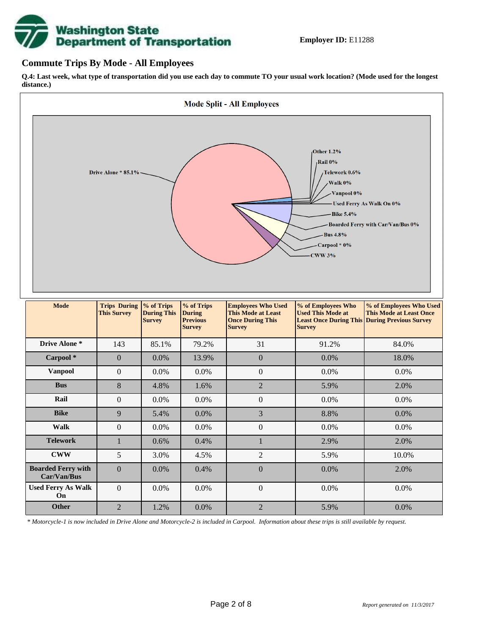# **Washington State<br>Department of Transportation**

#### **Commute Trips By Mode - All Employees**

**Q.4: Last week, what type of transportation did you use each day to commute TO your usual work location? (Mode used for the longest distance.)**



*\* Motorcycle-1 is now included in Drive Alone and Motorcycle-2 is included in Carpool. Information about these trips is still available by request.*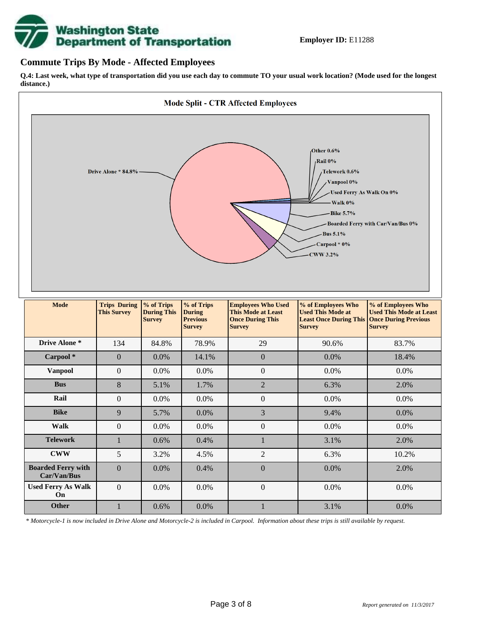

#### **Commute Trips By Mode - Affected Employees**

**Q.4: Last week, what type of transportation did you use each day to commute TO your usual work location? (Mode used for the longest distance.)**



*\* Motorcycle-1 is now included in Drive Alone and Motorcycle-2 is included in Carpool. Information about these trips is still available by request.*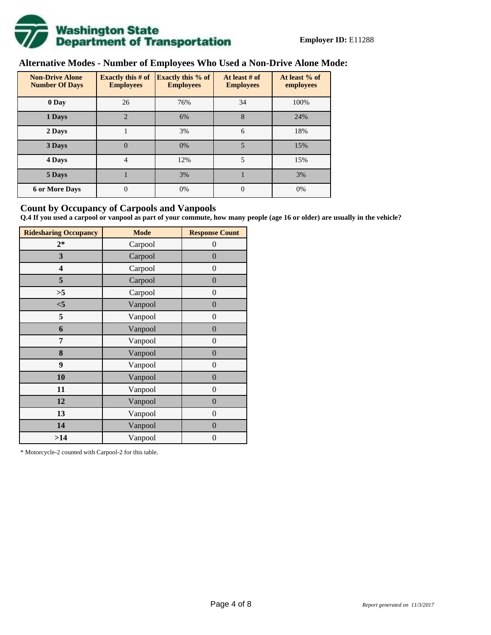

# **Alternative Modes - Number of Employees Who Used a Non-Drive Alone Mode:**

| <b>Non-Drive Alone</b><br><b>Number Of Days</b> | <b>Exactly this # of</b><br><b>Employees</b> | <b>Exactly this % of</b><br><b>Employees</b> | At least # of<br><b>Employees</b> | At least % of<br>employees |  |
|-------------------------------------------------|----------------------------------------------|----------------------------------------------|-----------------------------------|----------------------------|--|
| 0 Day                                           | 26                                           | 76%                                          | 34                                | 100%                       |  |
| 1 Days                                          | $\overline{2}$                               | 6%                                           | 8                                 | 24%                        |  |
| 2 Days                                          |                                              | 3%                                           | 6                                 | 18%                        |  |
| 3 Days                                          | $\overline{0}$                               | 0%                                           | 5                                 | 15%                        |  |
| 4 Days                                          | $\overline{4}$                               | 12%                                          | 5                                 | 15%                        |  |
| 5 Days                                          |                                              | 3%                                           |                                   | 3%                         |  |
| <b>6 or More Days</b>                           | 0                                            | 0%                                           | $\Omega$                          | 0%                         |  |

#### **Count by Occupancy of Carpools and Vanpools**

**Q.4 If you used a carpool or vanpool as part of your commute, how many people (age 16 or older) are usually in the vehicle?**

| <b>Ridesharing Occupancy</b> | <b>Mode</b> | <b>Response Count</b> |
|------------------------------|-------------|-----------------------|
| $2*$                         | Carpool     | 0                     |
| 3                            | Carpool     | $\overline{0}$        |
| 4                            | Carpool     | $\boldsymbol{0}$      |
| 5                            | Carpool     | $\boldsymbol{0}$      |
| >5                           | Carpool     | $\overline{0}$        |
| $<$ 5                        | Vanpool     | $\overline{0}$        |
| 5                            | Vanpool     | $\overline{0}$        |
| 6                            | Vanpool     | $\boldsymbol{0}$      |
| 7                            | Vanpool     | $\overline{0}$        |
| 8                            | Vanpool     | $\boldsymbol{0}$      |
| 9                            | Vanpool     | $\overline{0}$        |
| 10                           | Vanpool     | $\overline{0}$        |
| 11                           | Vanpool     | $\boldsymbol{0}$      |
| 12                           | Vanpool     | $\boldsymbol{0}$      |
| 13                           | Vanpool     | $\boldsymbol{0}$      |
| 14                           | Vanpool     | $\overline{0}$        |
| >14                          | Vanpool     | $\boldsymbol{0}$      |

\* Motorcycle-2 counted with Carpool-2 for this table.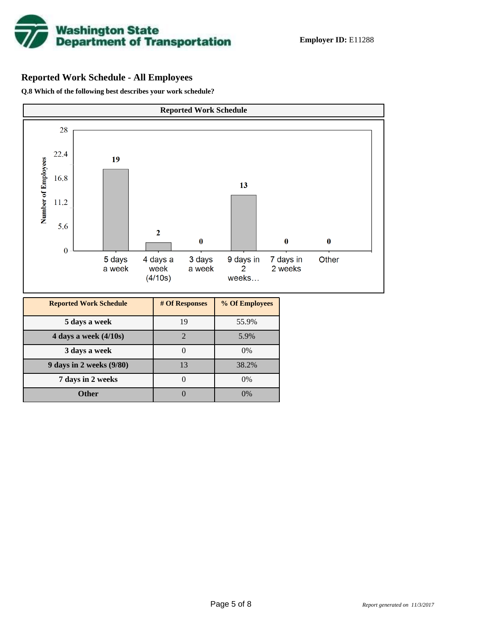

# **Reported Work Schedule - All Employees**

**Q.8 Which of the following best describes your work schedule?**

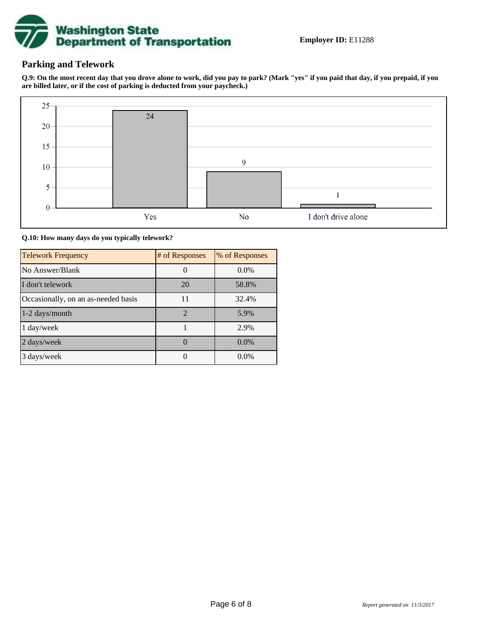

### **Parking and Telework**

**Q.9: On the most recent day that you drove alone to work, did you pay to park? (Mark "yes" if you paid that day, if you prepaid, if you are billed later, or if the cost of parking is deducted from your paycheck.)**



**Q.10: How many days do you typically telework?**

| <b>Telework Frequency</b>           | # of Responses | % of Responses |
|-------------------------------------|----------------|----------------|
| No Answer/Blank                     |                | $0.0\%$        |
| I don't telework                    | 20             | 58.8%          |
| Occasionally, on an as-needed basis | 11             | 32.4%          |
| 1-2 days/month                      | $\mathcal{D}$  | 5.9%           |
| 1 day/week                          |                | 2.9%           |
| 2 days/week                         |                | $0.0\%$        |
| 3 days/week                         |                | $0.0\%$        |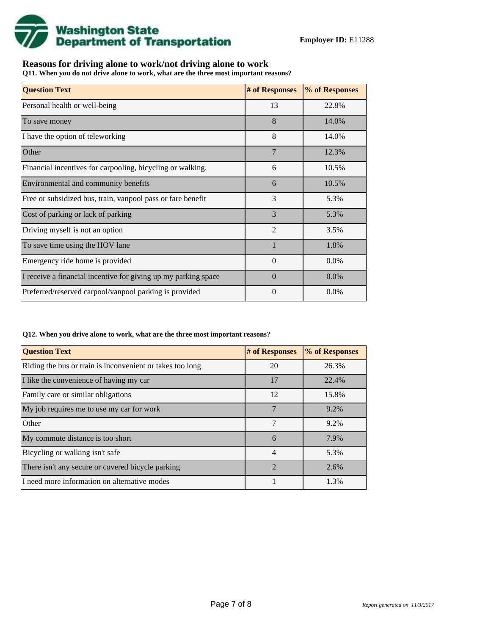

## **Reasons for driving alone to work/not driving alone to work**

**Q11. When you do not drive alone to work, what are the three most important reasons?**

| <b>Question Text</b>                                           | # of Responses | % of Responses |
|----------------------------------------------------------------|----------------|----------------|
| Personal health or well-being                                  | 13             | 22.8%          |
| To save money                                                  | 8              | 14.0%          |
| I have the option of teleworking                               | 8              | 14.0%          |
| Other                                                          | 7              | 12.3%          |
| Financial incentives for carpooling, bicycling or walking.     | 6              | 10.5%          |
| Environmental and community benefits                           | 6              | 10.5%          |
| Free or subsidized bus, train, vanpool pass or fare benefit    | 3              | 5.3%           |
| Cost of parking or lack of parking                             | 3              | 5.3%           |
| Driving myself is not an option                                | $\overline{2}$ | 3.5%           |
| To save time using the HOV lane                                |                | 1.8%           |
| Emergency ride home is provided                                | $\theta$       | $0.0\%$        |
| I receive a financial incentive for giving up my parking space | $\Omega$       | $0.0\%$        |
| Preferred/reserved carpool/vanpool parking is provided         | $\Omega$       | $0.0\%$        |

#### **Q12. When you drive alone to work, what are the three most important reasons?**

| <b>Question Text</b>                                      | # of Responses | % of Responses |
|-----------------------------------------------------------|----------------|----------------|
| Riding the bus or train is inconvenient or takes too long | 20             | 26.3%          |
| I like the convenience of having my car                   | 17             | 22.4%          |
| Family care or similar obligations                        | 12             | 15.8%          |
| My job requires me to use my car for work                 | 7              | 9.2%           |
| Other                                                     | 7              | 9.2%           |
| My commute distance is too short                          | 6              | 7.9%           |
| Bicycling or walking isn't safe                           | $\overline{4}$ | 5.3%           |
| There isn't any secure or covered bicycle parking         | $\mathfrak{D}$ | 2.6%           |
| I need more information on alternative modes              |                | 1.3%           |